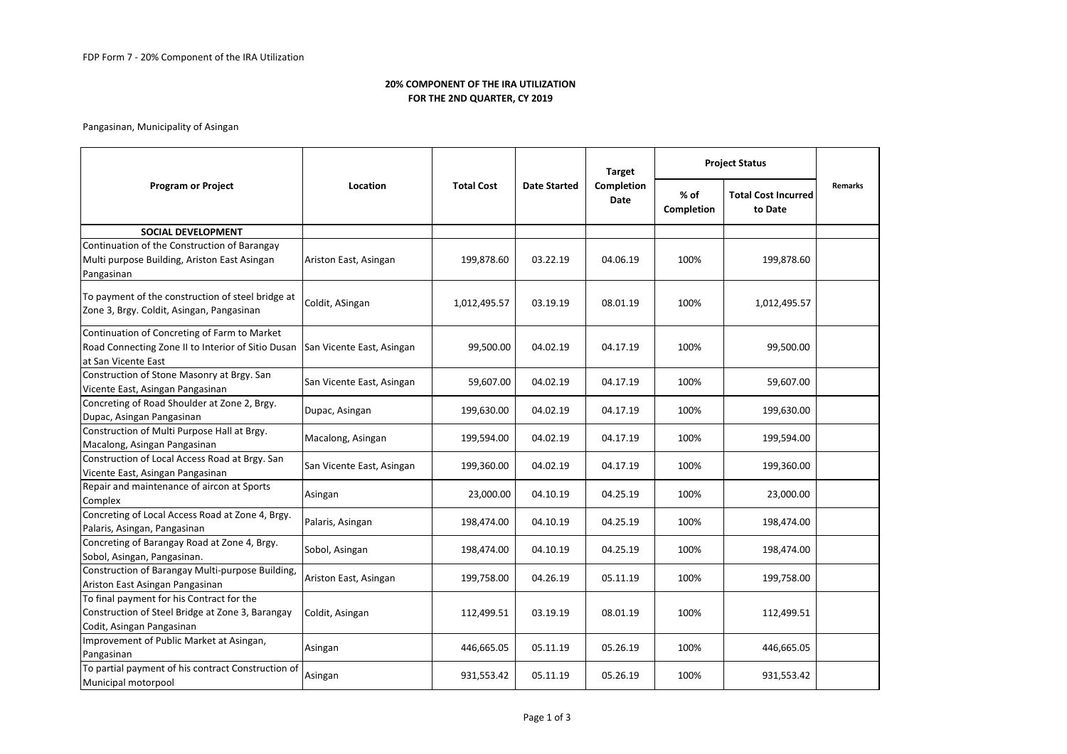# **20% COMPONENT OF THE IRA UTILIZATION FOR THE 2ND QUARTER, CY 2019**

Pangasinan, Municipality of Asingan

| <b>Program or Project</b>                                                                                                  | Location                  | <b>Total Cost</b> | <b>Date Started</b> | <b>Target</b><br>Completion<br>Date | <b>Project Status</b> |                                       |                |
|----------------------------------------------------------------------------------------------------------------------------|---------------------------|-------------------|---------------------|-------------------------------------|-----------------------|---------------------------------------|----------------|
|                                                                                                                            |                           |                   |                     |                                     | % of<br>Completion    | <b>Total Cost Incurred</b><br>to Date | <b>Remarks</b> |
| <b>SOCIAL DEVELOPMENT</b>                                                                                                  |                           |                   |                     |                                     |                       |                                       |                |
| Continuation of the Construction of Barangay<br>Multi purpose Building, Ariston East Asingan<br>Pangasinan                 | Ariston East, Asingan     | 199,878.60        | 03.22.19            | 04.06.19                            | 100%                  | 199,878.60                            |                |
| To payment of the construction of steel bridge at<br>Zone 3, Brgy. Coldit, Asingan, Pangasinan                             | Coldit, ASingan           | 1,012,495.57      | 03.19.19            | 08.01.19                            | 100%                  | 1,012,495.57                          |                |
| Continuation of Concreting of Farm to Market<br>Road Connecting Zone II to Interior of Sitio Dusan<br>at San Vicente East  | San Vicente East, Asingan | 99,500.00         | 04.02.19            | 04.17.19                            | 100%                  | 99,500.00                             |                |
| Construction of Stone Masonry at Brgy. San<br>Vicente East, Asingan Pangasinan                                             | San Vicente East, Asingan | 59,607.00         | 04.02.19            | 04.17.19                            | 100%                  | 59,607.00                             |                |
| Concreting of Road Shoulder at Zone 2, Brgy.<br>Dupac, Asingan Pangasinan                                                  | Dupac, Asingan            | 199,630.00        | 04.02.19            | 04.17.19                            | 100%                  | 199,630.00                            |                |
| Construction of Multi Purpose Hall at Brgy.<br>Macalong, Asingan Pangasinan                                                | Macalong, Asingan         | 199,594.00        | 04.02.19            | 04.17.19                            | 100%                  | 199,594.00                            |                |
| Construction of Local Access Road at Brgy. San<br>Vicente East, Asingan Pangasinan                                         | San Vicente East, Asingan | 199,360.00        | 04.02.19            | 04.17.19                            | 100%                  | 199,360.00                            |                |
| Repair and maintenance of aircon at Sports<br>Complex                                                                      | Asingan                   | 23,000.00         | 04.10.19            | 04.25.19                            | 100%                  | 23,000.00                             |                |
| Concreting of Local Access Road at Zone 4, Brgy.<br>Palaris, Asingan, Pangasinan                                           | Palaris, Asingan          | 198,474.00        | 04.10.19            | 04.25.19                            | 100%                  | 198,474.00                            |                |
| Concreting of Barangay Road at Zone 4, Brgy.<br>Sobol, Asingan, Pangasinan.                                                | Sobol, Asingan            | 198,474.00        | 04.10.19            | 04.25.19                            | 100%                  | 198,474.00                            |                |
| Construction of Barangay Multi-purpose Building,<br>Ariston East Asingan Pangasinan                                        | Ariston East, Asingan     | 199,758.00        | 04.26.19            | 05.11.19                            | 100%                  | 199,758.00                            |                |
| To final payment for his Contract for the<br>Construction of Steel Bridge at Zone 3, Barangay<br>Codit, Asingan Pangasinan | Coldit, Asingan           | 112,499.51        | 03.19.19            | 08.01.19                            | 100%                  | 112,499.51                            |                |
| Improvement of Public Market at Asingan,<br>Pangasinan                                                                     | Asingan                   | 446,665.05        | 05.11.19            | 05.26.19                            | 100%                  | 446,665.05                            |                |
| To partial payment of his contract Construction of<br>Municipal motorpool                                                  | Asingan                   | 931,553.42        | 05.11.19            | 05.26.19                            | 100%                  | 931,553.42                            |                |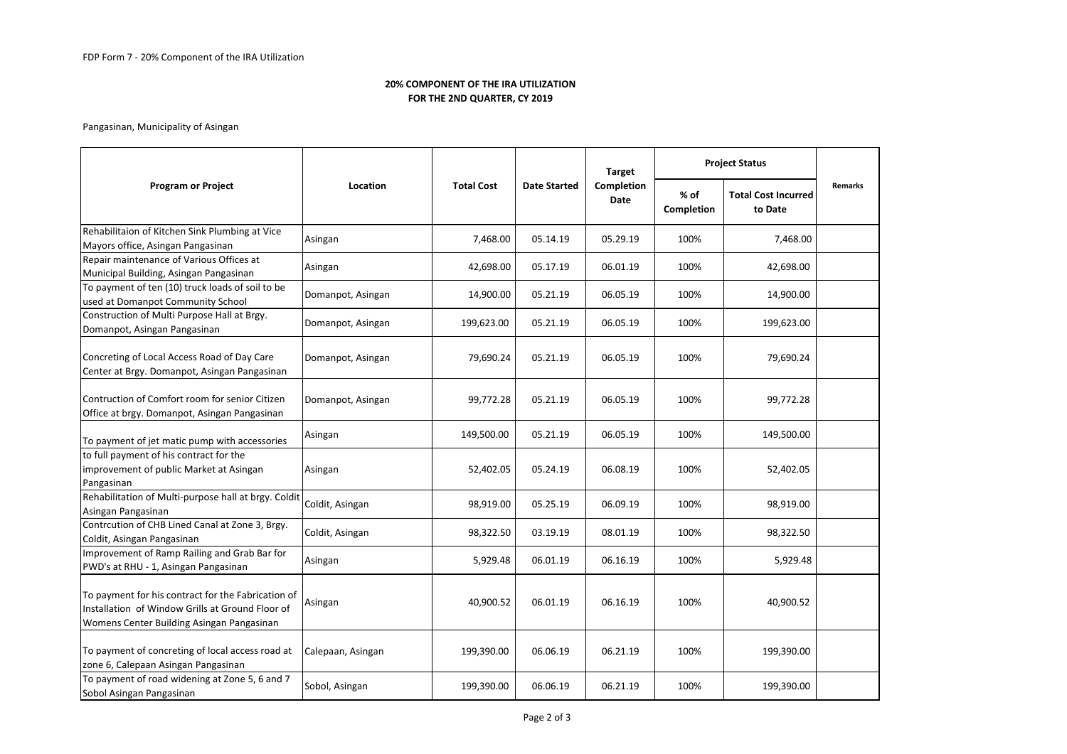# **20% COMPONENT OF THE IRA UTILIZATION FOR THE 2ND QUARTER, CY 2019**

# Pangasinan, Municipality of Asingan

| <b>Program or Project</b>                                                                                                                           | Location          | <b>Total Cost</b> | <b>Date Started</b> | <b>Target</b><br>Completion<br>Date | <b>Project Status</b> |                                       |                |
|-----------------------------------------------------------------------------------------------------------------------------------------------------|-------------------|-------------------|---------------------|-------------------------------------|-----------------------|---------------------------------------|----------------|
|                                                                                                                                                     |                   |                   |                     |                                     | % of<br>Completion    | <b>Total Cost Incurred</b><br>to Date | <b>Remarks</b> |
| Rehabilitaion of Kitchen Sink Plumbing at Vice<br>Mayors office, Asingan Pangasinan                                                                 | Asingan           | 7,468.00          | 05.14.19            | 05.29.19                            | 100%                  | 7,468.00                              |                |
| Repair maintenance of Various Offices at<br>Municipal Building, Asingan Pangasinan                                                                  | Asingan           | 42,698.00         | 05.17.19            | 06.01.19                            | 100%                  | 42,698.00                             |                |
| To payment of ten (10) truck loads of soil to be<br>used at Domanpot Community School                                                               | Domanpot, Asingan | 14,900.00         | 05.21.19            | 06.05.19                            | 100%                  | 14,900.00                             |                |
| Construction of Multi Purpose Hall at Brgy.<br>Domanpot, Asingan Pangasinan                                                                         | Domanpot, Asingan | 199,623.00        | 05.21.19            | 06.05.19                            | 100%                  | 199,623.00                            |                |
| Concreting of Local Access Road of Day Care<br>Center at Brgy. Domanpot, Asingan Pangasinan                                                         | Domanpot, Asingan | 79,690.24         | 05.21.19            | 06.05.19                            | 100%                  | 79,690.24                             |                |
| Contruction of Comfort room for senior Citizen<br>Office at brgy. Domanpot, Asingan Pangasinan                                                      | Domanpot, Asingan | 99,772.28         | 05.21.19            | 06.05.19                            | 100%                  | 99,772.28                             |                |
| To payment of jet matic pump with accessories                                                                                                       | Asingan           | 149,500.00        | 05.21.19            | 06.05.19                            | 100%                  | 149,500.00                            |                |
| to full payment of his contract for the<br>improvement of public Market at Asingan<br>Pangasinan                                                    | Asingan           | 52,402.05         | 05.24.19            | 06.08.19                            | 100%                  | 52,402.05                             |                |
| Rehabilitation of Multi-purpose hall at brgy. Coldit<br>Asingan Pangasinan                                                                          | Coldit, Asingan   | 98,919.00         | 05.25.19            | 06.09.19                            | 100%                  | 98,919.00                             |                |
| Contrcution of CHB Lined Canal at Zone 3, Brgy.<br>Coldit, Asingan Pangasinan                                                                       | Coldit, Asingan   | 98,322.50         | 03.19.19            | 08.01.19                            | 100%                  | 98,322.50                             |                |
| Improvement of Ramp Railing and Grab Bar for<br>PWD's at RHU - 1, Asingan Pangasinan                                                                | Asingan           | 5,929.48          | 06.01.19            | 06.16.19                            | 100%                  | 5,929.48                              |                |
| To payment for his contract for the Fabrication of<br>Installation of Window Grills at Ground Floor of<br>Womens Center Building Asingan Pangasinan | Asingan           | 40,900.52         | 06.01.19            | 06.16.19                            | 100%                  | 40,900.52                             |                |
| To payment of concreting of local access road at<br>zone 6, Calepaan Asingan Pangasinan                                                             | Calepaan, Asingan | 199,390.00        | 06.06.19            | 06.21.19                            | 100%                  | 199,390.00                            |                |
| To payment of road widening at Zone 5, 6 and 7<br>Sobol Asingan Pangasinan                                                                          | Sobol, Asingan    | 199,390.00        | 06.06.19            | 06.21.19                            | 100%                  | 199,390.00                            |                |